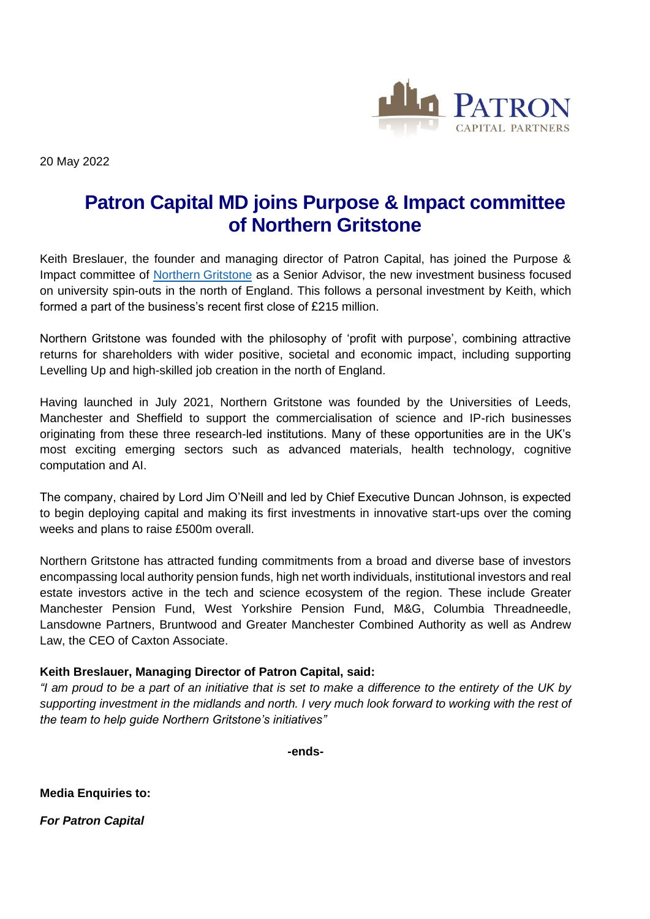

20 May 2022

## **Patron Capital MD joins Purpose & Impact committee of Northern Gritstone**

Keith Breslauer, the founder and managing director of Patron Capital, has joined the Purpose & Impact committee of [Northern](https://northern-gritstone.com/) Gritstone as a Senior Advisor, the new investment business focused on university spin-outs in the north of England. This follows a personal investment by Keith, which formed a part of the business's recent first close of £215 million.

Northern Gritstone was founded with the philosophy of 'profit with purpose', combining attractive returns for shareholders with wider positive, societal and economic impact, including supporting Levelling Up and high-skilled job creation in the north of England.

Having launched in July 2021, Northern Gritstone was founded by the Universities of Leeds, Manchester and Sheffield to support the commercialisation of science and IP-rich businesses originating from these three research-led institutions. Many of these opportunities are in the UK's most exciting emerging sectors such as advanced materials, health technology, cognitive computation and AI.

The company, chaired by Lord Jim O'Neill and led by Chief Executive Duncan Johnson, is expected to begin deploying capital and making its first investments in innovative start-ups over the coming weeks and plans to raise £500m overall.

Northern Gritstone has attracted funding commitments from a broad and diverse base of investors encompassing local authority pension funds, high net worth individuals, institutional investors and real estate investors active in the tech and science ecosystem of the region. These include Greater Manchester Pension Fund, West Yorkshire Pension Fund, M&G, Columbia Threadneedle, Lansdowne Partners, Bruntwood and Greater Manchester Combined Authority as well as Andrew Law, the CEO of Caxton Associate.

## **Keith Breslauer, Managing Director of Patron Capital, said:**

*"I am proud to be a part of an initiative that is set to make a difference to the entirety of the UK by supporting investment in the midlands and north. I very much look forward to working with the rest of the team to help guide Northern Gritstone's initiatives"*

**-ends-**

**Media Enquiries to:**

*For Patron Capital*